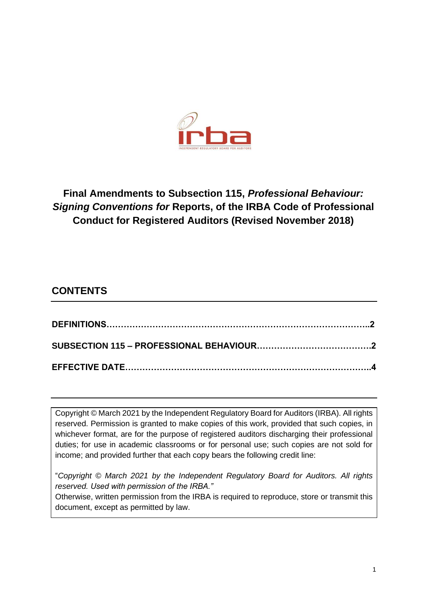

# **Final Amendments to Subsection 115,** *Professional Behaviour: Signing Conventions for* **Reports, of the IRBA Code of Professional Conduct for Registered Auditors (Revised November 2018)**

## **CONTENTS**

Copyright © March 2021 by the Independent Regulatory Board for Auditors (IRBA). All rights reserved. Permission is granted to make copies of this work, provided that such copies, in whichever format, are for the purpose of registered auditors discharging their professional duties; for use in academic classrooms or for personal use; such copies are not sold for income; and provided further that each copy bears the following credit line:

"*Copyright © March 2021 by the Independent Regulatory Board for Auditors. All rights reserved. Used with permission of the IRBA."*

Otherwise, written permission from the IRBA is required to reproduce, store or transmit this document, except as permitted by law.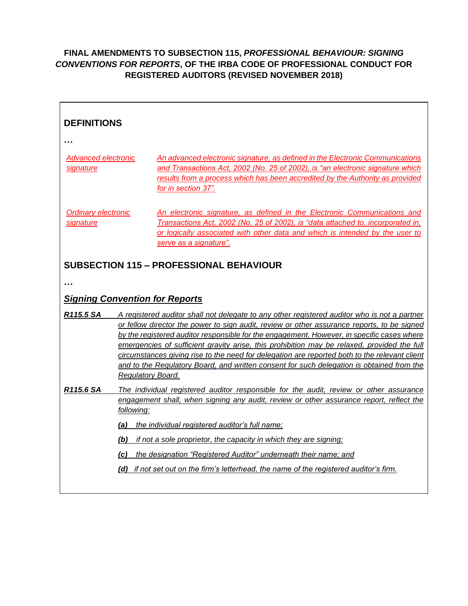#### **FINAL AMENDMENTS TO SUBSECTION 115,** *PROFESSIONAL BEHAVIOUR: SIGNING CONVENTIONS FOR REPORTS***, OF THE IRBA CODE OF PROFESSIONAL CONDUCT FOR REGISTERED AUDITORS (REVISED NOVEMBER 2018)**

| <b>DEFINITIONS</b>                             |                                                                                                                                                                                                                                                                                                                                                                                                                                                                                                                                                                                                             |  |  |
|------------------------------------------------|-------------------------------------------------------------------------------------------------------------------------------------------------------------------------------------------------------------------------------------------------------------------------------------------------------------------------------------------------------------------------------------------------------------------------------------------------------------------------------------------------------------------------------------------------------------------------------------------------------------|--|--|
|                                                |                                                                                                                                                                                                                                                                                                                                                                                                                                                                                                                                                                                                             |  |  |
| Advanced electronic<br>signature               | An advanced electronic signature, as defined in the Electronic Communications<br>and Transactions Act, 2002 (No. 25 of 2002), is "an electronic signature which<br>results from a process which has been accredited by the Authority as provided<br>for in section 37".                                                                                                                                                                                                                                                                                                                                     |  |  |
| <b>Ordinary electronic</b><br>signature        | An electronic signature, as defined in the Electronic Communications and<br>Transactions Act, 2002 (No. 25 of 2002), is "data attached to, incorporated in,<br>or logically associated with other data and which is intended by the user to<br>serve as a signature".                                                                                                                                                                                                                                                                                                                                       |  |  |
| <b>SUBSECTION 115 - PROFESSIONAL BEHAVIOUR</b> |                                                                                                                                                                                                                                                                                                                                                                                                                                                                                                                                                                                                             |  |  |
|                                                |                                                                                                                                                                                                                                                                                                                                                                                                                                                                                                                                                                                                             |  |  |
| <b>Signing Convention for Reports</b>          |                                                                                                                                                                                                                                                                                                                                                                                                                                                                                                                                                                                                             |  |  |
| R115.5 SA                                      | A registered auditor shall not delegate to any other registered auditor who is not a partner<br>or fellow director the power to sign audit, review or other assurance reports, to be signed<br>by the registered auditor responsible for the engagement. However, in specific cases where<br>emergencies of sufficient gravity arise, this prohibition may be relaxed, provided the full<br>circumstances giving rise to the need for delegation are reported both to the relevant client<br>and to the Regulatory Board, and written consent for such delegation is obtained from the<br>Regulatory Board. |  |  |
| R115.6 SA                                      | The individual registered auditor responsible for the audit, review or other assurance<br>engagement shall, when signing any audit, review or other assurance report, reflect the<br>following:<br>(a) the individual registered auditor's full name;<br>if not a sole proprietor, the capacity in which they are signing;<br>(b)<br>(c) the designation "Registered Auditor" underneath their name; and<br>(d) if not set out on the firm's letterhead, the name of the registered auditor's firm.                                                                                                         |  |  |
|                                                |                                                                                                                                                                                                                                                                                                                                                                                                                                                                                                                                                                                                             |  |  |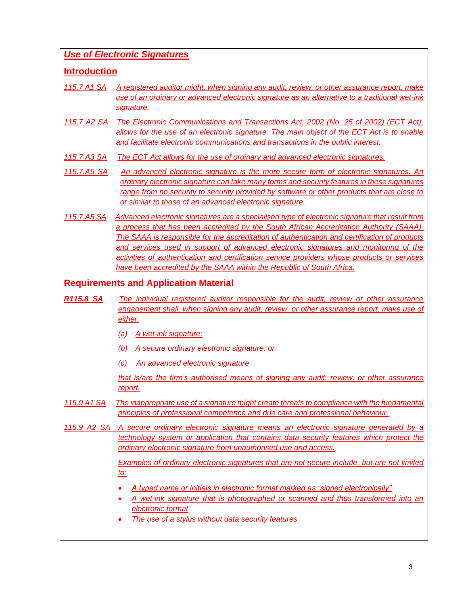#### *Use of Electronic Signatures*

#### **Introduction**

- *115.7 A1 SA A registered auditor might, when signing any audit, review, or other assurance report, make use of an ordinary or advanced electronic signature as an alternative to a traditional wet-ink signature.*
- *115.7 A2 SA The Electronic Communications and Transactions Act, 2002 (No. 25 of 2002) (ECT Act), allows for the use of an electronic signature. The main object of the ECT Act is to enable and facilitate electronic communications and transactions in the public interest.*
- *115.7 A3 SA The ECT Act allows for the use of ordinary and advanced electronic signatures.*
- *115.7.A5 SA An advanced electronic signature is the more secure form of electronic signatures. An ordinary electronic signature can take many forms and security features in these signatures range from no security to security provided by software or other products that are close to or similar to those of an advanced electronic signature.*
- *115.7.A5 SA Advanced electronic signatures are a specialised type of electronic signature that result from a process that has been accredited by the South African Accreditation Authority (SAAA). The SAAA is responsible for the accreditation of authentication and certification of products and services used in support of advanced electronic signatures and monitoring of the activities of authentication and certification service providers whose products or services have been accredited by the SAAA within the Republic of South Africa.*

### **Requirements and Application Material**

- *R115.8 SA The individual registered auditor responsible for the audit, review or other assurance engagement shall, when signing any audit, review, or other assurance report, make use of either:*
	- *(a) A wet-ink signature;*
	- *(b) A secure ordinary electronic signature; or*
	- *(c) An advanced electronic signature*

*that is/are the firm's authorised means of signing any audit, review, or other assurance report.*

- *115.9 A1 SA The inappropriate use of a signature might create threats to compliance with the fundamental principles of professional competence and due care and professional behaviour.*
- *115.9 A2 SA A secure ordinary electronic signature means an electronic signature generated by a technology system or application that contains data security features which protect the ordinary electronic signature from unauthorised use and access.*

*Examples of ordinary electronic signatures that are not secure include, but are not limited to:*

- *A typed name or initials in electronic format marked as "signed electronically"*
- *A wet-ink signature that is photographed or scanned and thus transformed into an electronic format*
- *The use of a stylus without data security features*